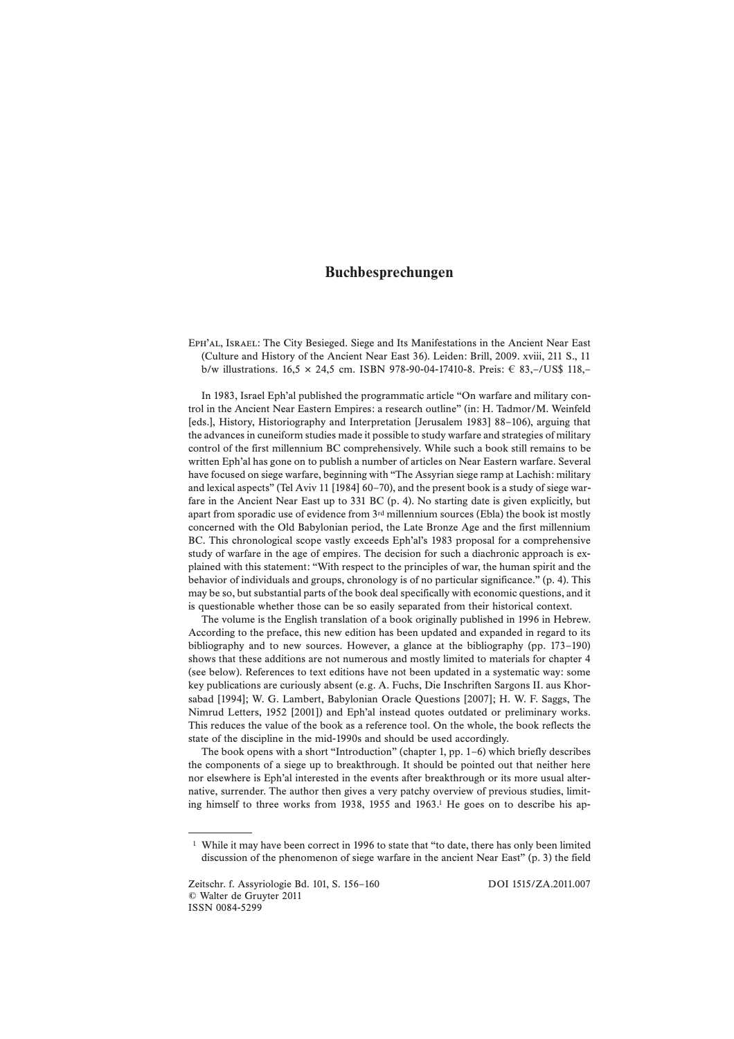## **Buchbesprechungen**

Eph'al, Israel: The City Besieged. Siege and Its Manifestations in the Ancient Near East (Culture and History of the Ancient Near East 36). Leiden: Brill, 2009. xviii, 211 S., 11 b/w illustrations. 16,5 × 24,5 cm. ISBN 978-90-04-17410-8. Preis: € 83,-/US\$ 118,-

In 1983, Israel Eph'al published the programmatic article "On warfare and military control in the Ancient Near Eastern Empires: a research outline" (in: H. Tadmor/M. Weinfeld [eds.], History, Historiography and Interpretation [Jerusalem 1983] 88–106), arguing that the advances in cuneiform studies made it possible to study warfare and strategies of military control of the first millennium BC comprehensively. While such a book still remains to be written Eph'al has gone on to publish a number of articles on Near Eastern warfare. Several have focused on siege warfare, beginning with "The Assyrian siege ramp at Lachish: military and lexical aspects" (Tel Aviv 11 [1984] 60–70), and the present book is a study of siege warfare in the Ancient Near East up to 331 BC (p. 4). No starting date is given explicitly, but apart from sporadic use of evidence from  $3<sup>rd</sup>$  millennium sources (Ebla) the book ist mostly concerned with the Old Babylonian period, the Late Bronze Age and the first millennium BC. This chronological scope vastly exceeds Eph'al's 1983 proposal for a comprehensive study of warfare in the age of empires. The decision for such a diachronic approach is explained with this statement: "With respect to the principles of war, the human spirit and the behavior of individuals and groups, chronology is of no particular significance." (p. 4). This may be so, but substantial parts of the book deal specifically with economic questions, and it is questionable whether those can be so easily separated from their historical context.

The volume is the English translation of a book originally published in 1996 in Hebrew. According to the preface, this new edition has been updated and expanded in regard to its bibliography and to new sources. However, a glance at the bibliography (pp. 173–190) shows that these additions are not numerous and mostly limited to materials for chapter 4 (see below). References to text editions have not been updated in a systematic way: some key publications are curiously absent (e.g. A. Fuchs, Die Inschriften Sargons II. aus Khorsabad [1994]; W. G. Lambert, Babylonian Oracle Questions [2007]; H. W. F. Saggs, The Nimrud Letters, 1952 [2001]) and Eph'al instead quotes outdated or preliminary works. This reduces the value of the book as a reference tool. On the whole, the book reflects the state of the discipline in the mid-1990s and should be used accordingly.

The book opens with a short "Introduction" (chapter 1, pp. 1–6) which briefly describes the components of a siege up to breakthrough. It should be pointed out that neither here nor elsewhere is Eph'al interested in the events after breakthrough or its more usual alternative, surrender. The author then gives a very patchy overview of previous studies, limiting himself to three works from 1938, 1955 and 1963.1 He goes on to describe his ap-

<sup>1</sup> While it may have been correct in 1996 to state that "to date, there has only been limited discussion of the phenomenon of siege warfare in the ancient Near East" (p. 3) the field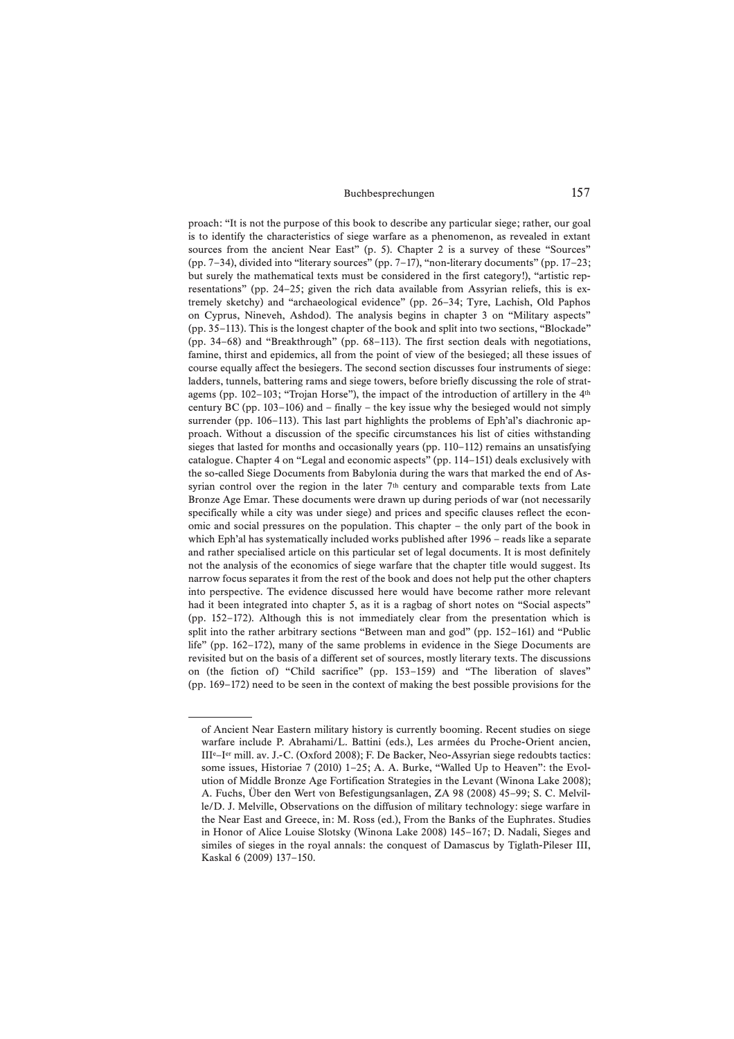## Buchbesprechungen 157

proach: "It is not the purpose of this book to describe any particular siege; rather, our goal is to identify the characteristics of siege warfare as a phenomenon, as revealed in extant sources from the ancient Near East" (p. 5). Chapter 2 is a survey of these "Sources" (pp. 7–34), divided into "literary sources" (pp. 7–17), "non-literary documents" (pp. 17–23; but surely the mathematical texts must be considered in the first category!), "artistic representations" (pp. 24–25; given the rich data available from Assyrian reliefs, this is extremely sketchy) and "archaeological evidence" (pp. 26–34; Tyre, Lachish, Old Paphos on Cyprus, Nineveh, Ashdod). The analysis begins in chapter 3 on "Military aspects" (pp. 35–113). This is the longest chapter of the book and split into two sections, "Blockade" (pp. 34–68) and "Breakthrough" (pp. 68–113). The first section deals with negotiations, famine, thirst and epidemics, all from the point of view of the besieged; all these issues of course equally affect the besiegers. The second section discusses four instruments of siege: ladders, tunnels, battering rams and siege towers, before briefly discussing the role of stratagems (pp. 102–103; "Trojan Horse"), the impact of the introduction of artillery in the 4th century BC (pp. 103–106) and – finally – the key issue why the besieged would not simply surrender (pp. 106–113). This last part highlights the problems of Eph'al's diachronic approach. Without a discussion of the specific circumstances his list of cities withstanding sieges that lasted for months and occasionally years (pp.  $110-112$ ) remains an unsatisfying catalogue. Chapter 4 on "Legal and economic aspects" (pp. 114–151) deals exclusively with the so-called Siege Documents from Babylonia during the wars that marked the end of Assyrian control over the region in the later  $7<sup>th</sup>$  century and comparable texts from Late Bronze Age Emar. These documents were drawn up during periods of war (not necessarily specifically while a city was under siege) and prices and specific clauses reflect the economic and social pressures on the population. This chapter – the only part of the book in which Eph'al has systematically included works published after 1996 – reads like a separate and rather specialised article on this particular set of legal documents. It is most definitely not the analysis of the economics of siege warfare that the chapter title would suggest. Its narrow focus separates it from the rest of the book and does not help put the other chapters into perspective. The evidence discussed here would have become rather more relevant had it been integrated into chapter 5, as it is a ragbag of short notes on "Social aspects" (pp. 152–172). Although this is not immediately clear from the presentation which is split into the rather arbitrary sections "Between man and god" (pp. 152–161) and "Public life" (pp. 162–172), many of the same problems in evidence in the Siege Documents are revisited but on the basis of a different set of sources, mostly literary texts. The discussions on (the fiction of) "Child sacrifice" (pp. 153–159) and "The liberation of slaves" (pp. 169–172) need to be seen in the context of making the best possible provisions for the

of Ancient Near Eastern military history is currently booming. Recent studies on siege warfare include P. Abrahami/L. Battini (eds.), Les armées du Proche-Orient ancien, IIIe–Ier mill. av. J.-C. (Oxford 2008); F. De Backer, Neo-Assyrian siege redoubts tactics: some issues, Historiae 7 (2010) 1–25; A. A. Burke, "Walled Up to Heaven": the Evolution of Middle Bronze Age Fortification Strategies in the Levant (Winona Lake 2008); A. Fuchs, Über den Wert von Befestigungsanlagen, ZA 98 (2008) 45–99; S. C. Melville/D. J. Melville, Observations on the diffusion of military technology: siege warfare in the Near East and Greece, in: M. Ross (ed.), From the Banks of the Euphrates. Studies in Honor of Alice Louise Slotsky (Winona Lake 2008) 145–167; D. Nadali, Sieges and similes of sieges in the royal annals: the conquest of Damascus by Tiglath-Pileser III, Kaskal 6 (2009) 137–150.